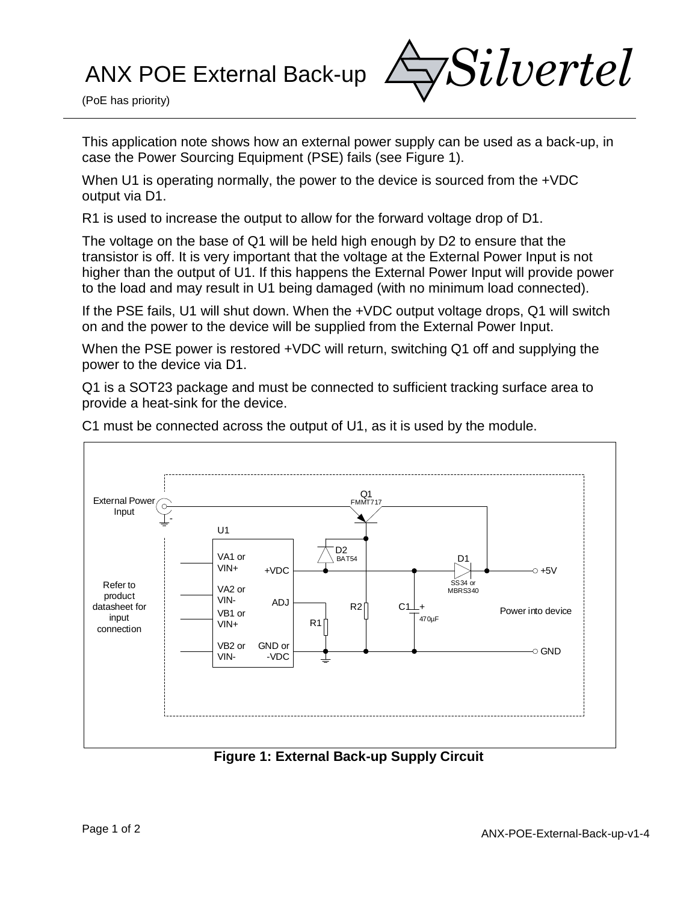## ANX POE External Back-up



(PoE has priority)

This application note shows how an external power supply can be used as a back-up, in case the Power Sourcing Equipment (PSE) fails (see Figure 1).

When U1 is operating normally, the power to the device is sourced from the  $+\text{VDC}$ output via D1.

R1 is used to increase the output to allow for the forward voltage drop of D1.

The voltage on the base of Q1 will be held high enough by D2 to ensure that the transistor is off. It is very important that the voltage at the External Power Input is not higher than the output of U1. If this happens the External Power Input will provide power to the load and may result in U1 being damaged (with no minimum load connected).

If the PSE fails, U1 will shut down. When the +VDC output voltage drops, Q1 will switch on and the power to the device will be supplied from the External Power Input.

When the PSE power is restored +VDC will return, switching Q1 off and supplying the power to the device via D1.

Q1 is a SOT23 package and must be connected to sufficient tracking surface area to provide a heat-sink for the device.



C1 must be connected across the output of U1, as it is used by the module.

## **Figure 1: External Back-up Supply Circuit**